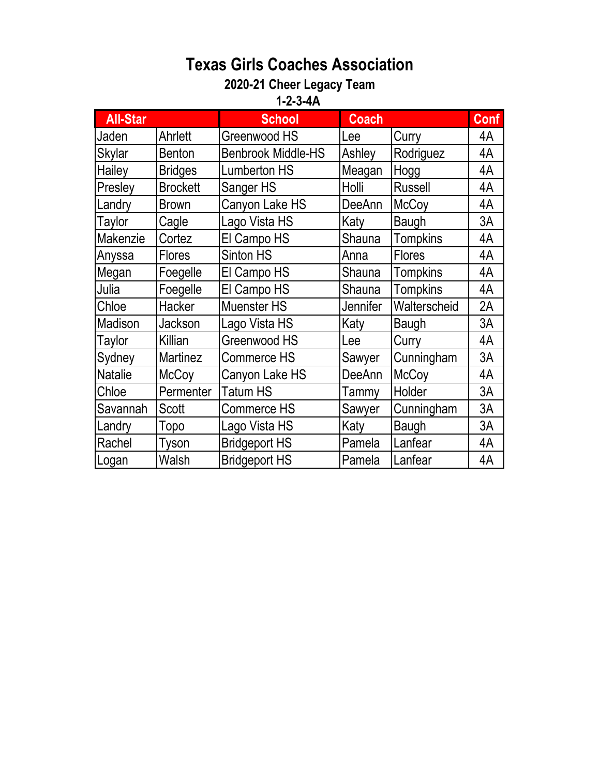## **Texas Girls Coaches Association**

## **2020-21 Cheer Legacy Team**

**1-2-3-4A** 

| <b>All-Star</b> |                 | <b>School</b>             | <b>Coach</b> |                 | <b>Conf</b> |  |  |  |  |
|-----------------|-----------------|---------------------------|--------------|-----------------|-------------|--|--|--|--|
| Jaden           | Ahrlett         | Greenwood HS              | Lee          | Curry           | 4A          |  |  |  |  |
| Skylar          | <b>Benton</b>   | <b>Benbrook Middle-HS</b> | Ashley       | Rodriguez       | 4A          |  |  |  |  |
| Hailey          | <b>Bridges</b>  | <b>Lumberton HS</b>       | Meagan       | Hogg            | 4A          |  |  |  |  |
| Presley         | <b>Brockett</b> | Sanger HS                 | Holli        | <b>Russell</b>  | 4A          |  |  |  |  |
| Landry          | <b>Brown</b>    | Canyon Lake HS            | DeeAnn       | <b>McCoy</b>    | 4A          |  |  |  |  |
| Taylor          | Cagle           | Lago Vista HS             | Katy         | Baugh           | 3A          |  |  |  |  |
| Makenzie        | Cortez          | El Campo HS               | Shauna       | <b>Tompkins</b> | 4A          |  |  |  |  |
| Anyssa          | <b>Flores</b>   | Sinton HS                 | Anna         | <b>Flores</b>   | 4A          |  |  |  |  |
| Megan           | Foegelle        | El Campo HS               | Shauna       | <b>Tompkins</b> | 4A          |  |  |  |  |
| Julia           | Foegelle        | El Campo HS               | Shauna       | <b>Tompkins</b> | 4A          |  |  |  |  |
| Chloe           | Hacker          | <b>Muenster HS</b>        | Jennifer     | Walterscheid    | 2A          |  |  |  |  |
| Madison         | Jackson         | Lago Vista HS             | Katy         | Baugh           | 3A          |  |  |  |  |
| Taylor          | Killian         | Greenwood HS              | Lee          | Curry           | 4A          |  |  |  |  |
| Sydney          | <b>Martinez</b> | Commerce HS               | Sawyer       | Cunningham      | 3A          |  |  |  |  |
| <b>Natalie</b>  | <b>McCoy</b>    | Canyon Lake HS            | DeeAnn       | <b>McCoy</b>    | 4A          |  |  |  |  |
| Chloe           | Permenter       | Tatum HS                  | Tammy        | Holder          | 3A          |  |  |  |  |
| Savannah        | <b>Scott</b>    | Commerce HS               | Sawyer       | Cunningham      | 3A          |  |  |  |  |
| Landry          | Topo            | Lago Vista HS             | Katy         | <b>Baugh</b>    | 3A          |  |  |  |  |
| Rachel          | Tyson           | <b>Bridgeport HS</b>      | Pamela       | Lanfear         | 4A          |  |  |  |  |
| Logan           | Walsh           | <b>Bridgeport HS</b>      | Pamela       | Lanfear         | 4A          |  |  |  |  |